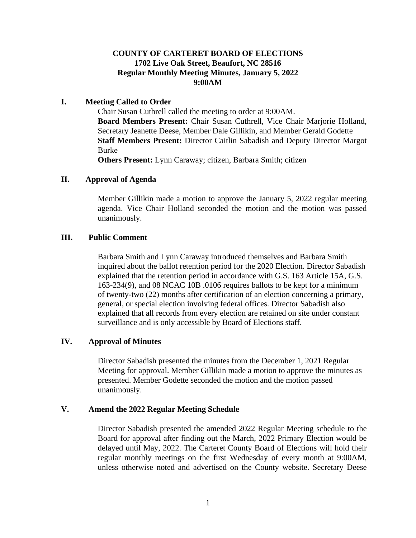## **COUNTY OF CARTERET BOARD OF ELECTIONS 1702 Live Oak Street, Beaufort, NC 28516 Regular Monthly Meeting Minutes, January 5, 2022 9:00AM**

### **I. Meeting Called to Order**

Chair Susan Cuthrell called the meeting to order at 9:00AM. **Board Members Present:** Chair Susan Cuthrell, Vice Chair Marjorie Holland, Secretary Jeanette Deese, Member Dale Gillikin, and Member Gerald Godette **Staff Members Present:** Director Caitlin Sabadish and Deputy Director Margot Burke

**Others Present:** Lynn Caraway; citizen, Barbara Smith; citizen

### **II. Approval of Agenda**

Member Gillikin made a motion to approve the January 5, 2022 regular meeting agenda. Vice Chair Holland seconded the motion and the motion was passed unanimously.

### **III. Public Comment**

Barbara Smith and Lynn Caraway introduced themselves and Barbara Smith inquired about the ballot retention period for the 2020 Election. Director Sabadish explained that the retention period in accordance with G.S. 163 Article 15A, G.S. 163-234(9), and 08 NCAC 10B .0106 requires ballots to be kept for a minimum of twenty-two (22) months after certification of an election concerning a primary, general, or special election involving federal offices. Director Sabadish also explained that all records from every election are retained on site under constant surveillance and is only accessible by Board of Elections staff.

## **IV. Approval of Minutes**

Director Sabadish presented the minutes from the December 1, 2021 Regular Meeting for approval. Member Gillikin made a motion to approve the minutes as presented. Member Godette seconded the motion and the motion passed unanimously.

## **V. Amend the 2022 Regular Meeting Schedule**

Director Sabadish presented the amended 2022 Regular Meeting schedule to the Board for approval after finding out the March, 2022 Primary Election would be delayed until May, 2022. The Carteret County Board of Elections will hold their regular monthly meetings on the first Wednesday of every month at 9:00AM, unless otherwise noted and advertised on the County website. Secretary Deese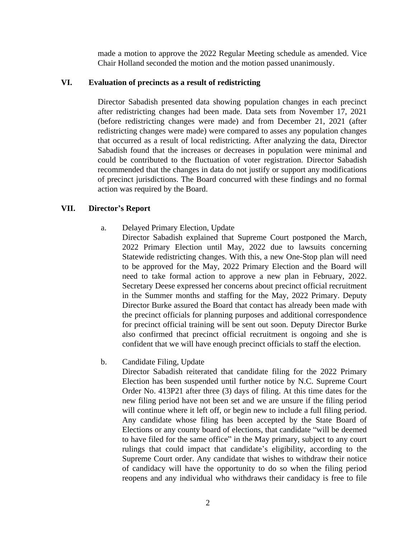made a motion to approve the 2022 Regular Meeting schedule as amended. Vice Chair Holland seconded the motion and the motion passed unanimously.

#### **VI. Evaluation of precincts as a result of redistricting**

Director Sabadish presented data showing population changes in each precinct after redistricting changes had been made. Data sets from November 17, 2021 (before redistricting changes were made) and from December 21, 2021 (after redistricting changes were made) were compared to asses any population changes that occurred as a result of local redistricting. After analyzing the data, Director Sabadish found that the increases or decreases in population were minimal and could be contributed to the fluctuation of voter registration. Director Sabadish recommended that the changes in data do not justify or support any modifications of precinct jurisdictions. The Board concurred with these findings and no formal action was required by the Board.

#### **VII. Director's Report**

a. Delayed Primary Election, Update

Director Sabadish explained that Supreme Court postponed the March, 2022 Primary Election until May, 2022 due to lawsuits concerning Statewide redistricting changes. With this, a new One-Stop plan will need to be approved for the May, 2022 Primary Election and the Board will need to take formal action to approve a new plan in February, 2022. Secretary Deese expressed her concerns about precinct official recruitment in the Summer months and staffing for the May, 2022 Primary. Deputy Director Burke assured the Board that contact has already been made with the precinct officials for planning purposes and additional correspondence for precinct official training will be sent out soon. Deputy Director Burke also confirmed that precinct official recruitment is ongoing and she is confident that we will have enough precinct officials to staff the election.

b. Candidate Filing, Update

Director Sabadish reiterated that candidate filing for the 2022 Primary Election has been suspended until further notice by N.C. Supreme Court Order No. 413P21 after three (3) days of filing. At this time dates for the new filing period have not been set and we are unsure if the filing period will continue where it left off, or begin new to include a full filing period. Any candidate whose filing has been accepted by the State Board of Elections or any county board of elections, that candidate "will be deemed to have filed for the same office" in the May primary, subject to any court rulings that could impact that candidate's eligibility, according to the Supreme Court order. Any candidate that wishes to withdraw their notice of candidacy will have the opportunity to do so when the filing period reopens and any individual who withdraws their candidacy is free to file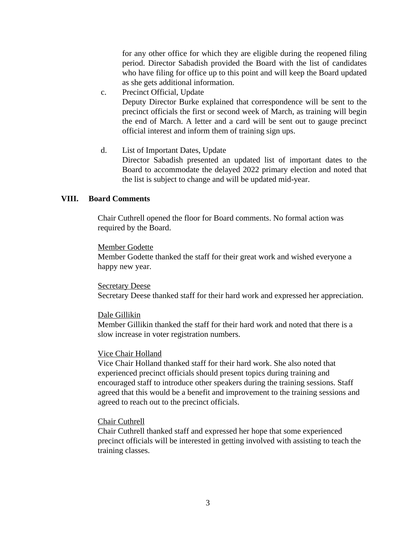for any other office for which they are eligible during the reopened filing period. Director Sabadish provided the Board with the list of candidates who have filing for office up to this point and will keep the Board updated as she gets additional information.

c. Precinct Official, Update

Deputy Director Burke explained that correspondence will be sent to the precinct officials the first or second week of March, as training will begin the end of March. A letter and a card will be sent out to gauge precinct official interest and inform them of training sign ups.

d. List of Important Dates, Update Director Sabadish presented an updated list of important dates to the Board to accommodate the delayed 2022 primary election and noted that the list is subject to change and will be updated mid-year.

### **VIII. Board Comments**

Chair Cuthrell opened the floor for Board comments. No formal action was required by the Board.

#### Member Godette

Member Godette thanked the staff for their great work and wished everyone a happy new year.

#### **Secretary Deese**

Secretary Deese thanked staff for their hard work and expressed her appreciation.

#### Dale Gillikin

Member Gillikin thanked the staff for their hard work and noted that there is a slow increase in voter registration numbers.

#### Vice Chair Holland

Vice Chair Holland thanked staff for their hard work. She also noted that experienced precinct officials should present topics during training and encouraged staff to introduce other speakers during the training sessions. Staff agreed that this would be a benefit and improvement to the training sessions and agreed to reach out to the precinct officials.

#### Chair Cuthrell

Chair Cuthrell thanked staff and expressed her hope that some experienced precinct officials will be interested in getting involved with assisting to teach the training classes.